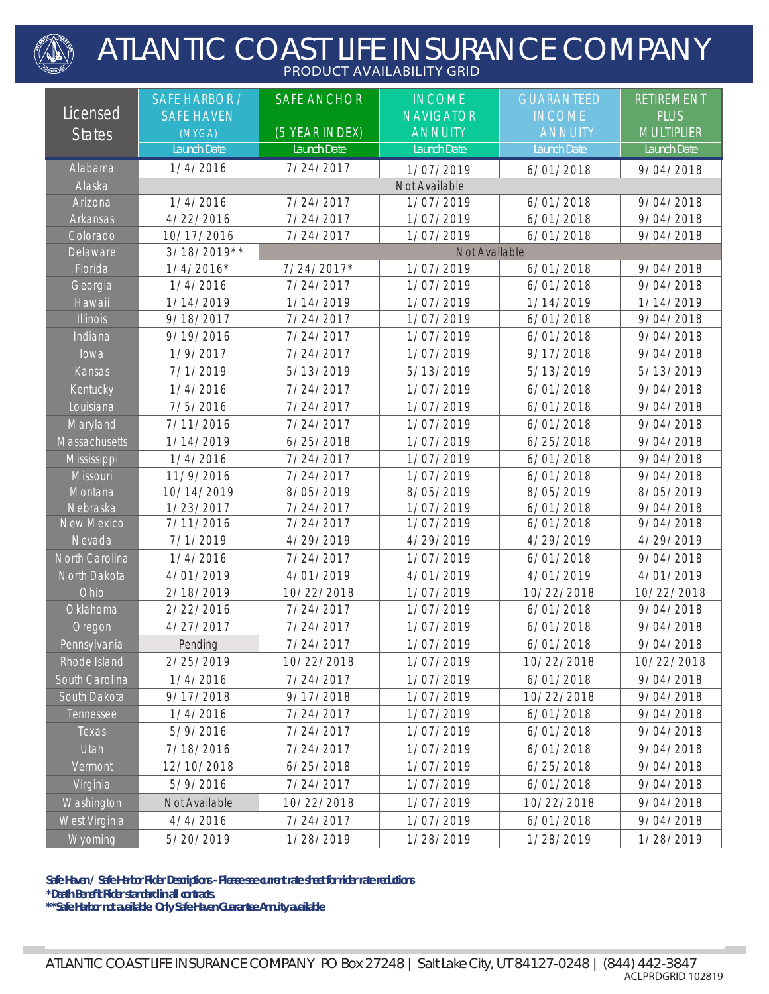## ATLANTIC COAST LIFE INSURANCE COMPANY **PRODUCT AVAILABILITY GRID**

|                   | <b>SAFE HARBOR /</b> | <b>SAFE ANCHOR</b> | <b>INCOME</b>    | <b>GUARANTEED</b> | <b>RETIREMENT</b> |
|-------------------|----------------------|--------------------|------------------|-------------------|-------------------|
| Licensed          | <b>SAFE HAVEN</b>    |                    | <b>NAVIGATOR</b> | <b>INCOME</b>     | <b>PLUS</b>       |
| <b>States</b>     | (MYGA)               | (5 YEAR INDEX)     | <b>ANNUITY</b>   | <b>ANNUITY</b>    | <b>MULTIPLIER</b> |
|                   | Launch Date          | Launch Date        | Launch Date      | Launch Date       | Launch Date       |
| Alabama           | 1/4/2016             | 7/24/2017          | 1/07/2019        | 6/01/2018         | 9/04/2018         |
| Alaska            |                      | Not Available      |                  |                   |                   |
| Arizona           | 1/4/2016             | 7/24/2017          | 1/07/2019        | 6/01/2018         | 9/04/2018         |
| Arkansas          | 4/22/2016            | 7/24/2017          | 1/07/2019        | 6/01/2018         | 9/04/2018         |
| Colorado          | 10/17/2016           | 7/24/2017          | 1/07/2019        | 6/01/2018         | 9/04/2018         |
| Delaware          | 3/18/2019**          | Not Available      |                  |                   |                   |
| Florida           | $1/4/2016*$          | 7/24/2017*         | 1/07/2019        | 6/01/2018         | 9/04/2018         |
| Georgia           | 1/4/2016             | 7/24/2017          | 1/07/2019        | 6/01/2018         | 9/04/2018         |
| Hawaii            | 1/14/2019            | 1/14/2019          | 1/07/2019        | 1/14/2019         | 1/14/2019         |
| <b>Illinois</b>   | 9/18/2017            | 7/24/2017          | 1/07/2019        | 6/01/2018         | 9/04/2018         |
| Indiana           | 9/19/2016            | 7/24/2017          | 1/07/2019        | 6/01/2018         | 9/04/2018         |
| lowa              | 1/9/2017             | 7/24/2017          | 1/07/2019        | 9/17/2018         | 9/04/2018         |
| Kansas            | 7/1/2019             | 5/13/2019          | 5/13/2019        | 5/13/2019         | 5/13/2019         |
| Kentucky          | 1/4/2016             | 7/24/2017          | 1/07/2019        | 6/01/2018         | 9/04/2018         |
| Louisiana         | 7/5/2016             | 7/24/2017          | 1/07/2019        | 6/01/2018         | 9/04/2018         |
| Maryland          | 7/11/2016            | 7/24/2017          | 1/07/2019        | 6/01/2018         | 9/04/2018         |
| Massachusetts     | 1/14/2019            | 6/25/2018          | 1/07/2019        | 6/25/2018         | 9/04/2018         |
| Mississippi       | 1/4/2016             | 7/24/2017          | 1/07/2019        | 6/01/2018         | 9/04/2018         |
| Missouri          | 11/9/2016            | 7/24/2017          | 1/07/2019        | 6/01/2018         | 9/04/2018         |
| Montana           | 10/14/2019           | 8/05/2019          | 8/05/2019        | 8/05/2019         | 8/05/2019         |
| Nebraska          | 1/23/2017            | 7/24/2017          | 1/07/2019        | 6/01/2018         | 9/04/2018         |
| <b>New Mexico</b> | 7/11/2016            | 7/24/2017          | 1/07/2019        | 6/01/2018         | 9/04/2018         |
| Nevada            | 7/1/2019             | 4/29/2019          | 4/29/2019        | 4/29/2019         | 4/29/2019         |
| North Carolina    | 1/4/2016             | 7/24/2017          | 1/07/2019        | 6/01/2018         | 9/04/2018         |
| North Dakota      | 4/01/2019            | 4/01/2019          | 4/01/2019        | 4/01/2019         | 4/01/2019         |
| Ohio              | 2/18/2019            | 10/22/2018         | 1/07/2019        | 10/22/2018        | 10/22/2018        |
| Oklahoma          | 2/22/2016            | 7/24/2017          | 1/07/2019        | 6/01/2018         | 9/04/2018         |
| Oregon            | 4/27/2017            | 7/24/2017          | 1/07/2019        | 6/01/2018         | 9/04/2018         |
| Pennsylvania      | Pending              | 7/24/2017          | 1/07/2019        | 6/01/2018         | 9/04/2018         |
| Rhode Island      | 2/25/2019            | 10/22/2018         | 1/07/2019        | 10/22/2018        | 10/22/2018        |
| South Carolina    | 1/4/2016             | 7/24/2017          | 1/07/2019        | 6/01/2018         | 9/04/2018         |
| South Dakota      | 9/17/2018            | 9/17/2018          | 1/07/2019        | 10/22/2018        | 9/04/2018         |
| Tennessee         | 1/4/2016             | 7/24/2017          | 1/07/2019        | 6/01/2018         | 9/04/2018         |
| Texas             | 5/9/2016             | 7/24/2017          | 1/07/2019        | 6/01/2018         | 9/04/2018         |
| Utah              | 7/18/2016            | 7/24/2017          | 1/07/2019        | 6/01/2018         | 9/04/2018         |
| Vermont           | 12/10/2018           | 6/25/2018          | 1/07/2019        | 6/25/2018         | 9/04/2018         |
| Virginia          | 5/9/2016             | 7/24/2017          | 1/07/2019        | 6/01/2018         | 9/04/2018         |
| Washington        | Not Available        | 10/22/2018         | 1/07/2019        | 10/22/2018        | 9/04/2018         |
| West Virginia     | 4/4/2016             | 7/24/2017          | 1/07/2019        | 6/01/2018         | 9/04/2018         |
| Wyoming           | 5/20/2019            | 1/28/2019          | 1/28/2019        | 1/28/2019         | 1/28/2019         |

**Safe Haven / Safe Harbor Rider Descriptions - Please see current rate sheet for rider rate reductions**

**\*Death Benefit Rider standard in all contracts.**

**College** 

**\*\*Safe Harbor not available. Only Safe Haven Guarantee Annuity available**